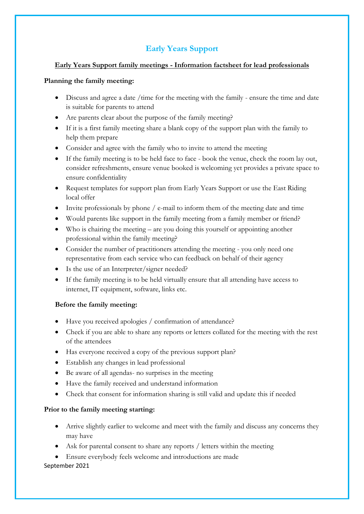# **Early Years Support**

## **Early Years Support family meetings - Information factsheet for lead professionals**

#### **Planning the family meeting:**

- Discuss and agree a date /time for the meeting with the family ensure the time and date is suitable for parents to attend
- Are parents clear about the purpose of the family meeting?
- If it is a first family meeting share a blank copy of the support plan with the family to help them prepare
- Consider and agree with the family who to invite to attend the meeting
- If the family meeting is to be held face to face book the venue, check the room lay out, consider refreshments, ensure venue booked is welcoming yet provides a private space to ensure confidentiality
- Request templates for support plan from Early Years Support or use the East Riding local offer
- Invite professionals by phone / e-mail to inform them of the meeting date and time
- Would parents like support in the family meeting from a family member or friend?
- Who is chairing the meeting are you doing this yourself or appointing another professional within the family meeting?
- Consider the number of practitioners attending the meeting you only need one representative from each service who can feedback on behalf of their agency
- Is the use of an Interpreter/signer needed?
- If the family meeting is to be held virtually ensure that all attending have access to internet, IT equipment, software, links etc.

## **Before the family meeting:**

- Have you received apologies / confirmation of attendance?
- Check if you are able to share any reports or letters collated for the meeting with the rest of the attendees
- Has everyone received a copy of the previous support plan?
- Establish any changes in lead professional
- Be aware of all agendas- no surprises in the meeting
- Have the family received and understand information
- Check that consent for information sharing is still valid and update this if needed

## **Prior to the family meeting starting:**

- Arrive slightly earlier to welcome and meet with the family and discuss any concerns they may have
- Ask for parental consent to share any reports / letters within the meeting
- September 2021 • Ensure everybody feels welcome and introductions are made